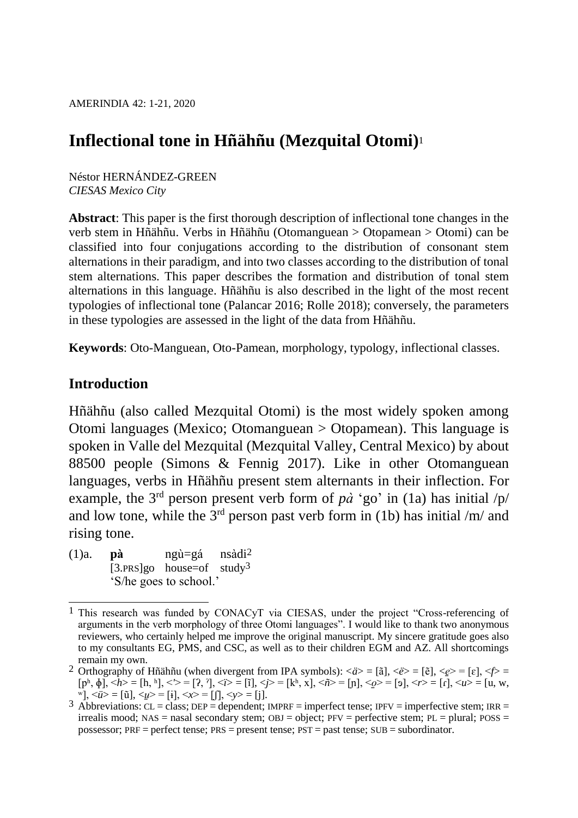AMERINDIA 42: 1-21, 2020

# **Inflectional tone in Hñähñu (Mezquital Otomi)**<sup>1</sup>

Néstor HERNÁNDEZ-GREEN *CIESAS Mexico City*

**Abstract**: This paper is the first thorough description of inflectional tone changes in the verb stem in Hñähñu. Verbs in Hñähñu (Otomanguean > Otopamean > Otomi) can be classified into four conjugations according to the distribution of consonant stem alternations in their paradigm, and into two classes according to the distribution of tonal stem alternations. This paper describes the formation and distribution of tonal stem alternations in this language. Hñähñu is also described in the light of the most recent typologies of inflectional tone (Palancar 2016; Rolle 2018); conversely, the parameters in these typologies are assessed in the light of the data from Hñähñu.

**Keywords**: Oto-Manguean, Oto-Pamean, morphology, typology, inflectional classes.

### **Introduction**

Hñähñu (also called Mezquital Otomi) is the most widely spoken among Otomi languages (Mexico; Otomanguean > Otopamean). This language is spoken in Valle del Mezquital (Mezquital Valley, Central Mexico) by about 88500 people (Simons & Fennig 2017). Like in other Otomanguean languages, verbs in Hñähñu present stem alternants in their inflection. For example, the 3<sup>rd</sup> person present verb form of  $p\dot{a}$  'go' in (1a) has initial  $/p/$ and low tone, while the  $3<sup>rd</sup>$  person past verb form in (1b) has initial /m/ and rising tone.

(1)a. **pà** ngù=gá nsàdi2  $[3.PRS]$ go house=of study<sup>3</sup> 'S/he goes to school.'

 $\overline{a}$ <sup>1</sup> This research was funded by CONACyT via CIESAS, under the project "Cross-referencing of arguments in the verb morphology of three Otomi languages". I would like to thank two anonymous reviewers, who certainly helped me improve the original manuscript. My sincere gratitude goes also to my consultants EG, PMS, and CSC, as well as to their children EGM and AZ. All shortcomings remain my own.

<sup>&</sup>lt;sup>2</sup> Orthography of Hñähñu (when divergent from IPA symbols):  $\langle \vec{a} \rangle = [\tilde{a}], \langle \vec{e} \rangle = [\tilde{e}], \langle \vec{e} \rangle = [\epsilon], \langle \vec{f} \rangle =$  $[p<sup>h</sup>, \phi]$ ,  $\langle h \rangle = [h, h], \langle \rangle = [?, ?], \langle i \rangle = [i], \langle j \rangle = [k<sup>h</sup>, x], \langle n \rangle = [n], \langle \phi \rangle = [o], \langle r \rangle = [r], \langle u \rangle = [u, w,$  $\overrightarrow{w}$ ,  $\langle \overrightarrow{u} \rangle = [\tilde{u}], \langle \overrightarrow{u} \rangle = [\tilde{i}], \langle \overrightarrow{x} \rangle = [\tilde{j}], \langle \overrightarrow{v} \rangle = [\tilde{i}].$ 

 $\overline{3}$  Abbreviations: CL = class; DEP = dependent; IMPRF = imperfect tense; IPFV = imperfective stem; IRR = irrealis mood; NAS = nasal secondary stem;  $OBJ = object$ ;  $PFV = perfective$  stem;  $PL = plural$ ;  $POSS =$ possessor; PRF = perfect tense; PRS = present tense; PST = past tense; SUB = subordinator.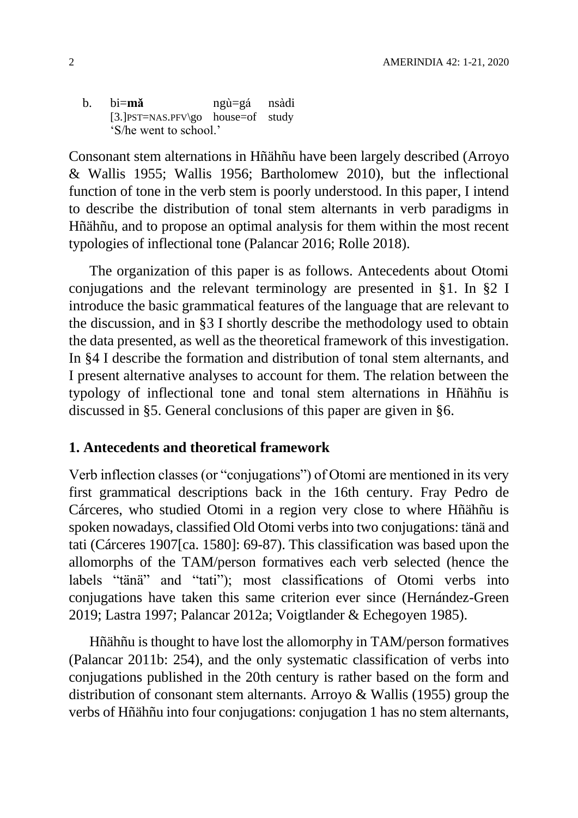b. bi=**mǎ** ngù=gá nsàdi [3.]PST=NAS.PFV\go house=of study 'S/he went to school.'

Consonant stem alternations in Hñähñu have been largely described (Arroyo & Wallis 1955; Wallis 1956; Bartholomew 2010), but the inflectional function of tone in the verb stem is poorly understood. In this paper, I intend to describe the distribution of tonal stem alternants in verb paradigms in Hñähñu, and to propose an optimal analysis for them within the most recent typologies of inflectional tone (Palancar 2016; Rolle 2018).

The organization of this paper is as follows. Antecedents about Otomi conjugations and the relevant terminology are presented in §1. In §2 I introduce the basic grammatical features of the language that are relevant to the discussion, and in §3 I shortly describe the methodology used to obtain the data presented, as well as the theoretical framework of this investigation. In §4 I describe the formation and distribution of tonal stem alternants, and I present alternative analyses to account for them. The relation between the typology of inflectional tone and tonal stem alternations in Hñähñu is discussed in §5. General conclusions of this paper are given in §6.

## **1. Antecedents and theoretical framework**

Verb inflection classes (or "conjugations") of Otomi are mentioned in its very first grammatical descriptions back in the 16th century. Fray Pedro de Cárceres, who studied Otomi in a region very close to where Hñähñu is spoken nowadays, classified Old Otomi verbs into two conjugations: tänä and tati (Cárceres 1907[ca. 1580]: 69-87). This classification was based upon the allomorphs of the TAM/person formatives each verb selected (hence the labels "tänä" and "tati"); most classifications of Otomi verbs into conjugations have taken this same criterion ever since (Hernández-Green 2019; Lastra 1997; Palancar 2012a; Voigtlander & Echegoyen 1985).

Hñähñu is thought to have lost the allomorphy in TAM/person formatives (Palancar 2011b: 254), and the only systematic classification of verbs into conjugations published in the 20th century is rather based on the form and distribution of consonant stem alternants. Arroyo & Wallis (1955) group the verbs of Hñähñu into four conjugations: conjugation 1 has no stem alternants,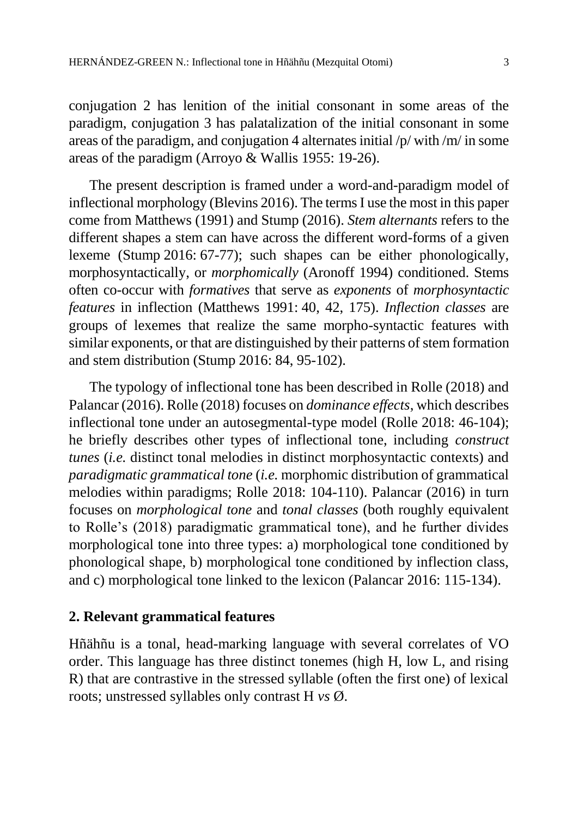conjugation 2 has lenition of the initial consonant in some areas of the paradigm, conjugation 3 has palatalization of the initial consonant in some areas of the paradigm, and conjugation 4 alternates initial /p/ with /m/ in some areas of the paradigm (Arroyo & Wallis 1955: 19-26).

The present description is framed under a word-and-paradigm model of inflectional morphology (Blevins 2016). The terms I use the most in this paper come from Matthews (1991) and Stump (2016). *Stem alternants* refers to the different shapes a stem can have across the different word-forms of a given lexeme (Stump 2016: 67-77); such shapes can be either phonologically, morphosyntactically, or *morphomically* (Aronoff 1994) conditioned. Stems often co-occur with *formatives* that serve as *exponents* of *morphosyntactic features* in inflection (Matthews 1991: 40, 42, 175). *Inflection classes* are groups of lexemes that realize the same morpho-syntactic features with similar exponents, or that are distinguished by their patterns of stem formation and stem distribution (Stump 2016: 84, 95-102).

The typology of inflectional tone has been described in Rolle (2018) and Palancar (2016). Rolle (2018) focuses on *dominance effects*, which describes inflectional tone under an autosegmental-type model (Rolle 2018: 46-104); he briefly describes other types of inflectional tone, including *construct tunes* (*i.e.* distinct tonal melodies in distinct morphosyntactic contexts) and *paradigmatic grammatical tone* (*i.e.* morphomic distribution of grammatical melodies within paradigms; Rolle 2018: 104-110). Palancar (2016) in turn focuses on *morphological tone* and *tonal classes* (both roughly equivalent to Rolle's (2018) paradigmatic grammatical tone), and he further divides morphological tone into three types: a) morphological tone conditioned by phonological shape, b) morphological tone conditioned by inflection class, and c) morphological tone linked to the lexicon (Palancar 2016: 115-134).

#### **2. Relevant grammatical features**

Hñähñu is a tonal, head-marking language with several correlates of VO order. This language has three distinct tonemes (high H, low L, and rising R) that are contrastive in the stressed syllable (often the first one) of lexical roots; unstressed syllables only contrast H *vs* Ø.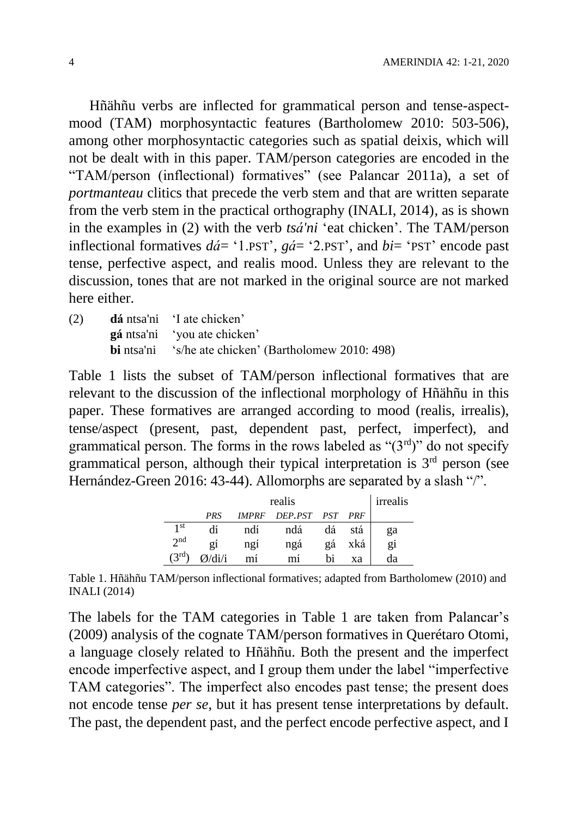Hñähñu verbs are inflected for grammatical person and tense-aspectmood (TAM) morphosyntactic features (Bartholomew 2010: 503-506), among other morphosyntactic categories such as spatial deixis, which will not be dealt with in this paper. TAM/person categories are encoded in the "TAM/person (inflectional) formatives" (see Palancar 2011a), a set of *portmanteau* clitics that precede the verb stem and that are written separate from the verb stem in the practical orthography (INALI, 2014), as is shown in the examples in (2) with the verb *tsá'ni* 'eat chicken'. The TAM/person inflectional formatives *dá*= '1.PST', *gá*= '2.PST', and *bi*= 'PST' encode past tense, perfective aspect, and realis mood. Unless they are relevant to the discussion, tones that are not marked in the original source are not marked here either.

(2) **dá** ntsa'ni 'I ate chicken' **gá** ntsa'ni 'you ate chicken' **bi** ntsa'ni 's/he ate chicken' (Bartholomew 2010: 498)

[Table 1](#page-3-0) lists the subset of TAM/person inflectional formatives that are relevant to the discussion of the inflectional morphology of Hñähñu in this paper. These formatives are arranged according to mood (realis, irrealis), tense/aspect (present, past, dependent past, perfect, imperfect), and grammatical person. The forms in the rows labeled as " $(3<sup>rd</sup>)$ " do not specify grammatical person, although their typical interpretation is  $3<sup>rd</sup>$  person (see Hernández-Green 2016: 43-44). Allomorphs are separated by a slash "/".

|                           |             |              | realis  |     |            | irrealis |
|---------------------------|-------------|--------------|---------|-----|------------|----------|
|                           | PRS         | <b>IMPRF</b> | DEP.PST | PST | <b>PRF</b> |          |
| 1 <sup>st</sup>           |             | ndí          | ndá     | dá  | stá        | ga       |
| 2 <sub>nd</sub>           | 21          | ngi          | ngá     | gá  | xká        | gi       |
| $\mathcal{I}^{\text{rd}}$ | $/di/\hbar$ | mí           | mi      | bi  | xа         | da       |

<span id="page-3-0"></span>Table 1. Hñähñu TAM/person inflectional formatives; adapted from Bartholomew (2010) and INALI (2014)

The labels for the TAM categories in [Table 1](#page-3-0) are taken from Palancar's (2009) analysis of the cognate TAM/person formatives in Querétaro Otomi, a language closely related to Hñähñu. Both the present and the imperfect encode imperfective aspect, and I group them under the label "imperfective TAM categories". The imperfect also encodes past tense; the present does not encode tense *per se*, but it has present tense interpretations by default. The past, the dependent past, and the perfect encode perfective aspect, and I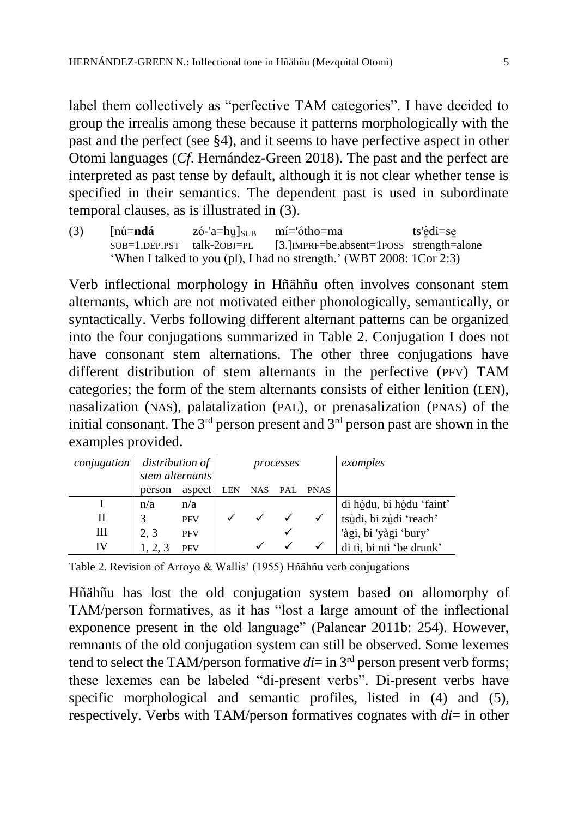label them collectively as "perfective TAM categories". I have decided to group the irrealis among these because it patterns morphologically with the past and the perfect (see §4), and it seems to have perfective aspect in other Otomi languages (*Cf*. Hernández-Green 2018). The past and the perfect are interpreted as past tense by default, although it is not clear whether tense is specified in their semantics. The dependent past is used in subordinate temporal clauses, as is illustrated in (3).

(3)  $[n\acute{u} = nd\acute{a} \quad z\acute{o}$ -'a=hu̯]<sub>SUB</sub>  $m\acute{i} = \acute{o}tho$ =ma ts'<u>è</u>di=se<br>SUB=1.DEP.PST talk-20BJ=PL [3.]IMPRF=be.absent=1POSS strength= [3.] IMPRF=be.absent=1POSS strength=alone 'When I talked to you (pl), I had no strength.' (WBT 2008: 1Cor 2:3)

Verb inflectional morphology in Hñähñu often involves consonant stem alternants, which are not motivated either phonologically, semantically, or syntactically. Verbs following different alternant patterns can be organized into the four conjugations summarized in [Table 2.](#page-4-0) Conjugation I does not have consonant stem alternations. The other three conjugations have different distribution of stem alternants in the perfective (PFV) TAM categories; the form of the stem alternants consists of either lenition (LEN), nasalization (NAS), palatalization (PAL), or prenasalization (PNAS) of the initial consonant. The  $3<sup>rd</sup>$  person present and  $3<sup>rd</sup>$  person past are shown in the examples provided.

| conjugation | stem alternants | distribution of |            |            | processes |             | examples                 |
|-------------|-----------------|-----------------|------------|------------|-----------|-------------|--------------------------|
|             | person          | aspect          | <b>LEN</b> | <b>NAS</b> | PAL       | <b>PNAS</b> |                          |
|             | n/a             | n/a             |            |            |           |             | di hòdu, bi hòdu 'faint' |
| Н           |                 | <b>PFV</b>      |            |            |           |             | tsùdi, bi zùdi 'reach'   |
| Ш           | 2, 3            | <b>PFV</b>      |            |            | ✔         |             | 'àgi, bi 'yàgi 'bury'    |
| IV          |                 | <b>PFV</b>      |            |            |           |             | di tì, bi ntì 'be drunk' |

<span id="page-4-0"></span>Table 2. Revision of Arroyo & Wallis' (1955) Hñähñu verb conjugations

Hñähñu has lost the old conjugation system based on allomorphy of TAM/person formatives, as it has "lost a large amount of the inflectional exponence present in the old language" (Palancar 2011b: 254). However, remnants of the old conjugation system can still be observed. Some lexemes tend to select the TAM/person formative  $di =$  in  $3<sup>rd</sup>$  person present verb forms; these lexemes can be labeled "di-present verbs". Di-present verbs have specific morphological and semantic profiles, listed in (4) and (5), respectively. Verbs with TAM/person formatives cognates with *di*= in other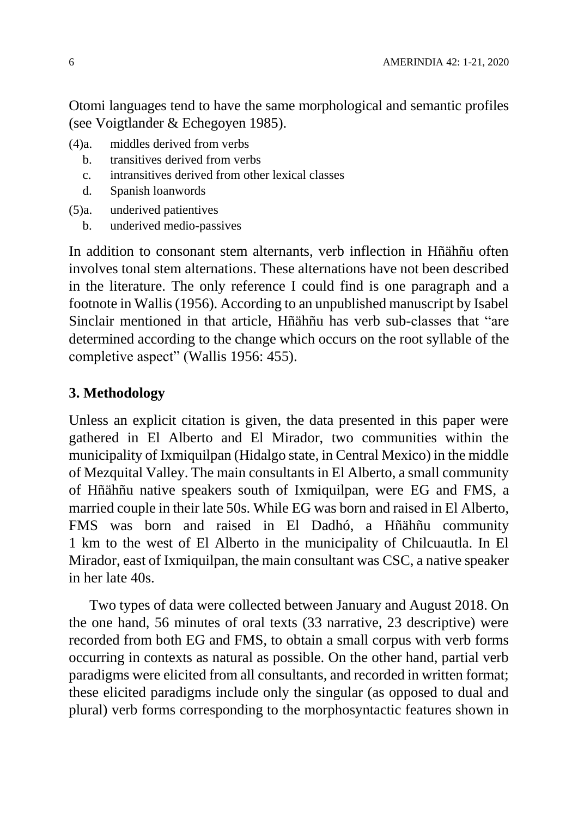Otomi languages tend to have the same morphological and semantic profiles (see Voigtlander & Echegoyen 1985).

- (4)a. middles derived from verbs
	- b. transitives derived from verbs
	- c. intransitives derived from other lexical classes
	- d. Spanish loanwords
- (5)a. underived patientives
	- b. underived medio-passives

In addition to consonant stem alternants, verb inflection in Hñähñu often involves tonal stem alternations. These alternations have not been described in the literature. The only reference I could find is one paragraph and a footnote in Wallis (1956). According to an unpublished manuscript by Isabel Sinclair mentioned in that article, Hñähñu has verb sub-classes that "are determined according to the change which occurs on the root syllable of the completive aspect" (Wallis 1956: 455).

# **3. Methodology**

Unless an explicit citation is given, the data presented in this paper were gathered in El Alberto and El Mirador, two communities within the municipality of Ixmiquilpan (Hidalgo state, in Central Mexico) in the middle of Mezquital Valley. The main consultants in El Alberto, a small community of Hñähñu native speakers south of Ixmiquilpan, were EG and FMS, a married couple in their late 50s. While EG was born and raised in El Alberto, FMS was born and raised in El Dadhó, a Hñähñu community 1 km to the west of El Alberto in the municipality of Chilcuautla. In El Mirador, east of Ixmiquilpan, the main consultant was CSC, a native speaker in her late 40s.

Two types of data were collected between January and August 2018. On the one hand, 56 minutes of oral texts (33 narrative, 23 descriptive) were recorded from both EG and FMS, to obtain a small corpus with verb forms occurring in contexts as natural as possible. On the other hand, partial verb paradigms were elicited from all consultants, and recorded in written format; these elicited paradigms include only the singular (as opposed to dual and plural) verb forms corresponding to the morphosyntactic features shown in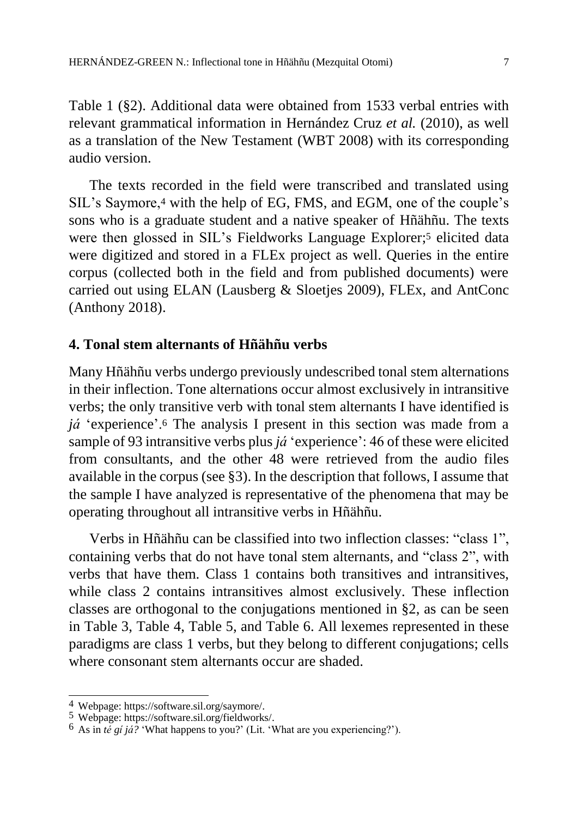[Table 1](#page-3-0) (§2). Additional data were obtained from 1533 verbal entries with relevant grammatical information in Hernández Cruz *et al.* (2010), as well as a translation of the New Testament (WBT 2008) with its corresponding audio version.

The texts recorded in the field were transcribed and translated using SIL's Saymore,<sup>4</sup> with the help of EG, FMS, and EGM, one of the couple's sons who is a graduate student and a native speaker of Hñähñu. The texts were then glossed in SIL's Fieldworks Language Explorer; <sup>5</sup> elicited data were digitized and stored in a FLEx project as well. Queries in the entire corpus (collected both in the field and from published documents) were carried out using ELAN (Lausberg & Sloetjes 2009), FLEx, and AntConc (Anthony 2018).

#### **4. Tonal stem alternants of Hñähñu verbs**

Many Hñähñu verbs undergo previously undescribed tonal stem alternations in their inflection. Tone alternations occur almost exclusively in intransitive verbs; the only transitive verb with tonal stem alternants I have identified is *já* 'experience'.<sup>6</sup> The analysis I present in this section was made from a sample of 93 intransitive verbs plus *já* 'experience': 46 of these were elicited from consultants, and the other 48 were retrieved from the audio files available in the corpus (see §3). In the description that follows, I assume that the sample I have analyzed is representative of the phenomena that may be operating throughout all intransitive verbs in Hñähñu.

Verbs in Hñähñu can be classified into two inflection classes: "class 1", containing verbs that do not have tonal stem alternants, and "class 2", with verbs that have them. Class 1 contains both transitives and intransitives, while class 2 contains intransitives almost exclusively. These inflection classes are orthogonal to the conjugations mentioned in §2, as can be seen in [Table 3,](#page-7-0) [Table 4,](#page-7-1) [Table 5,](#page-7-2) and [Table 6.](#page-7-3) All lexemes represented in these paradigms are class 1 verbs, but they belong to different conjugations; cells where consonant stem alternants occur are shaded.

 $\overline{a}$ 

<sup>4</sup> Webpage: [https://software.sil.org/saymore/.](https://software.sil.org/saymore/)

<sup>5</sup> Webpage: [https://software.sil.org/fieldworks/.](https://software.sil.org/fieldworks/)

 $6$  As in *te gi ja?* 'What happens to you?' (Lit. 'What are you experiencing?').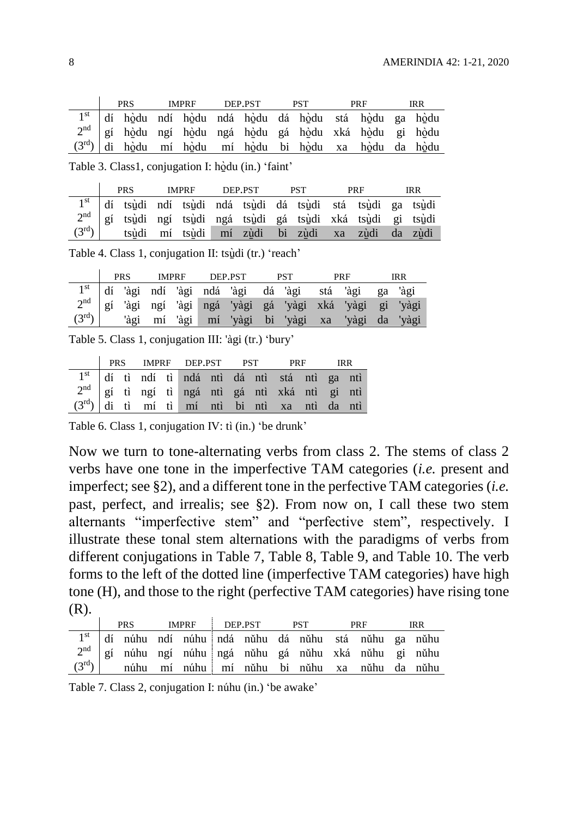|  | <b>PRS</b> | <b>IMPRF</b> | DEP.PST | <b>PST</b> | <b>PRF</b>                                                         | IRR |
|--|------------|--------------|---------|------------|--------------------------------------------------------------------|-----|
|  |            |              |         |            | 1 <sup>st</sup> dí hòdu ndí hòdu ndá hòdu dá hòdu stá hòdu ga hòdu |     |
|  |            |              |         |            | 2 <sup>nd</sup> gí hòdu ngí hòdu ngá hòdu gá hòdu xká hòdu gi hòdu |     |
|  |            |              |         |            | $(3^{rd})$ di hòdu mí hòdu mí hòdu bi hòdu xa hòdu da hòdu         |     |

<span id="page-7-0"></span>Table 3. Class1, conjugation I: hò̠̠du (in.) 'faint'

|  | <b>PRS</b> | <b>IMPRF</b> | DEP.PST |  | <b>PST</b> | <b>PRF</b>                                                                                                                                        | <b>IRR</b> |
|--|------------|--------------|---------|--|------------|---------------------------------------------------------------------------------------------------------------------------------------------------|------------|
|  |            |              |         |  |            | 1 <sup>st</sup> dí ts <u>ù</u> di ndí tsùdi ndá tsùdi dá tsùdi stá tsùdi ga tsùdi                                                                 |            |
|  |            |              |         |  |            |                                                                                                                                                   |            |
|  |            |              |         |  |            | $2nd$ gí ts <u>ù</u> di ngí ts <u>ùdi ngá tsùdi gá tsùdi xká tsùdi gi tsùdi</u><br>$(3rd)$ tsùdi mí tsùdi mí z <u>ùdi bi zùdi xa zùdi da zùdi</u> |            |

<span id="page-7-1"></span>Table 4. Class 1, conjugation II: tsùdi (tr.) 'reach'

|                | <b>PRS</b> | <b>IMPRF</b> |  | DEP.PST | <b>PST</b> | <b>PRF</b>                                                             | IRR |
|----------------|------------|--------------|--|---------|------------|------------------------------------------------------------------------|-----|
|                |            |              |  |         |            | 1 <sup>st</sup> dí 'àgi ndí 'àgi ndá 'àgi dá 'àgi stá 'àgi ga 'àgi     |     |
|                |            |              |  |         |            | 2 <sup>nd</sup> gí 'àgi ngí 'àgi ngá 'yàgi gá 'yàgi xká 'yàgi gi 'yàgi |     |
| $(3^{\rm rd})$ |            |              |  |         |            | 'àgi mí 'àgi mí 'yàgi bi 'yàgi xa 'yàgi da 'yàgi                       |     |

<span id="page-7-2"></span>Table 5. Class 1, conjugation III: 'àgi (tr.) 'bury'

|                                                     |  |  | <b>PRS</b> IMPRF DEP.PST PST PRF                           |  |  | <b>IRR</b> |  |
|-----------------------------------------------------|--|--|------------------------------------------------------------|--|--|------------|--|
|                                                     |  |  | 1 <sup>st</sup> dí tì ndí tì ndá ntì dá ntì stá ntì ga ntì |  |  |            |  |
| $2^{nd}$ gí tì ngí tì ngá ntì gá ntì xká ntì gi ntì |  |  |                                                            |  |  |            |  |
| $(3rd)$ di tì mí tì mí ntì bi ntì xa ntì da ntì     |  |  |                                                            |  |  |            |  |

<span id="page-7-3"></span>Table 6. Class 1, conjugation IV: tì (in.) 'be drunk'

Now we turn to tone-alternating verbs from class 2. The stems of class 2 verbs have one tone in the imperfective TAM categories (*i.e.* present and imperfect; see §2), and a different tone in the perfective TAM categories (*i.e.*  past, perfect, and irrealis; see §2). From now on, I call these two stem alternants "imperfective stem" and "perfective stem", respectively. I illustrate these tonal stem alternations with the paradigms of verbs from different conjugations in [Table 7,](#page-7-4) [Table 8,](#page-8-0) [Table 9,](#page-8-1) and [Table 10.](#page-8-2) The verb forms to the left of the dotted line (imperfective TAM categories) have high tone (H), and those to the right (perfective TAM categories) have rising tone (R).

|                   | <b>PRS</b> | IMPRF DEP.PST |  | <b>PST</b> | PRF                                                                | IRR. |
|-------------------|------------|---------------|--|------------|--------------------------------------------------------------------|------|
|                   |            |               |  |            | 1 <sup>st</sup> dí núhu ndí núhu ndá nŭhu dá nŭhu stá nŭhu ga nŭhu |      |
|                   |            |               |  |            | $2nd$   gí núhu ngí núhu   ngá nŭhu gá nŭhu xká nŭhu gi nŭhu       |      |
| $(3^{\text{rd}})$ |            |               |  |            | núhu mí núhu mí nůhu bi nůhu xa nůhu da nůhu                       |      |

<span id="page-7-4"></span>Table 7. Class 2, conjugation I: núhu (in.) 'be awake'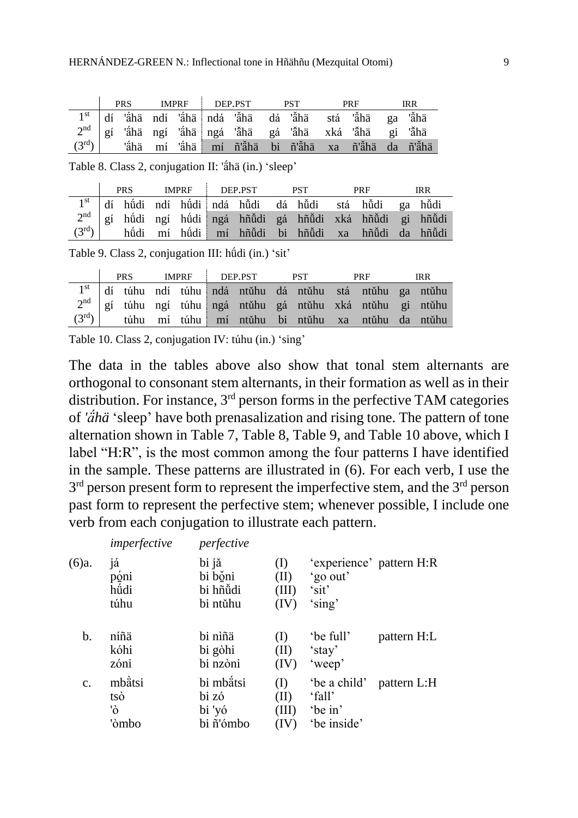|                   | <b>PRS</b> | IMPRF DEP.PST |  |  | <b>PRF</b>                                                         | IRR. |
|-------------------|------------|---------------|--|--|--------------------------------------------------------------------|------|
|                   |            |               |  |  | 1 <sup>st</sup> dí 'ắhä ndí 'ắhä ndá 'ắhä dá 'ắhä stá 'ắhä ga 'ắhä |      |
|                   |            |               |  |  | 2 <sup>nd</sup> gí 'áhä ngí 'áhä ngá 'ǎhä gá 'ǎhä xká 'ǎhä gi 'ǎhä |      |
| $(3^{\text{rd}})$ |            |               |  |  | 'ắhä mí 'ắhä mí ñ'ắhä bi ñ'ắhä xa ñ'ắhä da ñ'ắhä                   |      |

<span id="page-8-0"></span>Table 8. Class 2, conjugation II: 'ä́hä (in.) 'sleep'

|  | <b>PRS</b> | IMPRE DEP.PST |  | <b>PST</b> | PRF                                                                    | <b>IRR</b> |
|--|------------|---------------|--|------------|------------------------------------------------------------------------|------------|
|  |            |               |  |            | 1 <sup>st</sup> dí húdi ndí húdi ndá hũdi dá hũdi stá hũdi ga hũdi     |            |
|  |            |               |  |            | 2 <sup>nd</sup> gí húdi ngí húdi ngá hñůdi gá hñůdi xká hñůdi gi hñůdi |            |
|  |            |               |  |            | $(3^{rd})$ húdi mí húdi mí hñudi bi hñudi xa hñudi da hñudi            |            |

<span id="page-8-1"></span>Table 9. Class 2, conjugation III: hǘdi (in.) 'sit'

|                | <b>PRS</b> | IMPRF DEP.PST |  | <b>PST</b> | PRF                                              | <b>IRR</b> |
|----------------|------------|---------------|--|------------|--------------------------------------------------|------------|
|                |            |               |  |            |                                                  |            |
|                |            |               |  |            |                                                  |            |
| $(3^{\rm rd})$ |            |               |  |            | túhu mí túhu mí ntǔhu bi ntǔhu xa ntǔhu da ntǔhu |            |

<span id="page-8-2"></span>Table 10. Class 2, conjugation IV: túhu (in.) 'sing'

The data in the tables above also show that tonal stem alternants are orthogonal to consonant stem alternants, in their formation as well as in their distribution. For instance,  $3<sup>rd</sup>$  person forms in the perfective TAM categories of *'ä́hä* 'sleep' have both prenasalization and rising tone. The pattern of tone alternation shown in [Table 7,](#page-7-4) [Table 8,](#page-8-0) [Table 9,](#page-8-1) and [Table 10](#page-8-2) above, which I label "H:R", is the most common among the four patterns I have identified in the sample. These patterns are illustrated in (6). For each verb, I use the 3<sup>rd</sup> person present form to represent the imperfective stem, and the 3<sup>rd</sup> person past form to represent the perfective stem; whenever possible, I include one verb from each conjugation to illustrate each pattern.

|                | imperfective                 | perfective                                |                              |                                                  |                          |
|----------------|------------------------------|-------------------------------------------|------------------------------|--------------------------------------------------|--------------------------|
| (6)a.          | já<br>poni<br>hüdi<br>túhu   | bi jă<br>bi boni<br>bi hñüdi<br>bi ntŭhu  | (1)<br>(II)<br>(III)<br>(IV) | 'go out'<br>'sit'<br>'sing'                      | 'experience' pattern H:R |
| b.             | níñä<br>kóhi<br>zóni         | bi nìñä<br>bi gòhi<br>bi nzòni            | (II)<br>(IV)                 | 'be full'<br>'stay'<br>'weep'                    | pattern H:L              |
| $\mathbf{c}$ . | mbàtsi<br>tsò<br>'ò<br>'òmbo | bi mbätsi<br>bi zó<br>bi 'yó<br>bi ñ'ómbo | (I)<br>(II)<br>(III)         | 'be a child'<br>'fall'<br>'be in'<br>'be inside' | pattern L:H              |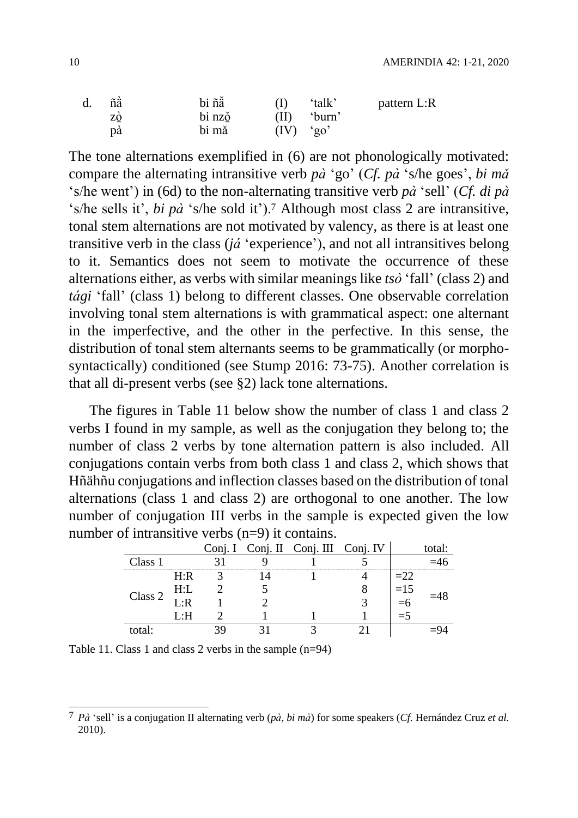| d. | ñä | bi ñă  |             | 'talk' | pattern L:R |
|----|----|--------|-------------|--------|-------------|
|    | zo | bi nzo | (II)        | 'burn' |             |
|    | pa | bi mă  | $(IV)$ 'go' |        |             |

The tone alternations exemplified in (6) are not phonologically motivated: compare the alternating intransitive verb *pà* 'go' (*Cf. pà* 's/he goes', *bi mǎ* 's/he went') in (6d) to the non-alternating transitive verb *pà* 'sell' (*Cf. di pà* 's/he sells it', *bi pà* 's/he sold it').<sup>7</sup> Although most class 2 are intransitive, tonal stem alternations are not motivated by valency, as there is at least one transitive verb in the class (*já* 'experience'), and not all intransitives belong to it. Semantics does not seem to motivate the occurrence of these alternations either, as verbs with similar meanings like *tsò* 'fall' (class 2) and *tági* 'fall' (class 1) belong to different classes. One observable correlation involving tonal stem alternations is with grammatical aspect: one alternant in the imperfective, and the other in the perfective. In this sense, the distribution of tonal stem alternants seems to be grammatically (or morphosyntactically) conditioned (see Stump 2016: 73-75). Another correlation is that all di-present verbs (see §2) lack tone alternations.

The figures in [Table 11](#page-9-0) below show the number of class 1 and class 2 verbs I found in my sample, as well as the conjugation they belong to; the number of class 2 verbs by tone alternation pattern is also included. All conjugations contain verbs from both class 1 and class 2, which shows that Hñähñu conjugations and inflection classes based on the distribution of tonal alternations (class 1 and class 2) are orthogonal to one another. The low number of conjugation III verbs in the sample is expected given the low number of intransitive verbs (n=9) it contains.

|         |      |  | Conj. I Conj. II Conj. III Conj. IV |       | total: |
|---------|------|--|-------------------------------------|-------|--------|
| Class 1 |      |  |                                     |       |        |
|         | H:R  |  |                                     | $=22$ |        |
|         | H:L  |  |                                     | $=15$ |        |
| Class 2 | L:R  |  |                                     |       |        |
|         | ⊺.∙H |  |                                     | $=$ 5 |        |
| total:  |      |  |                                     |       |        |

<span id="page-9-0"></span>Table 11. Class 1 and class 2 verbs in the sample (n=94)

 $\overline{a}$ 7 *Pà* 'sell' is a conjugation II alternating verb (*pà, bi mà*) for some speakers (*Cf.* Hernández Cruz *et al.* 2010).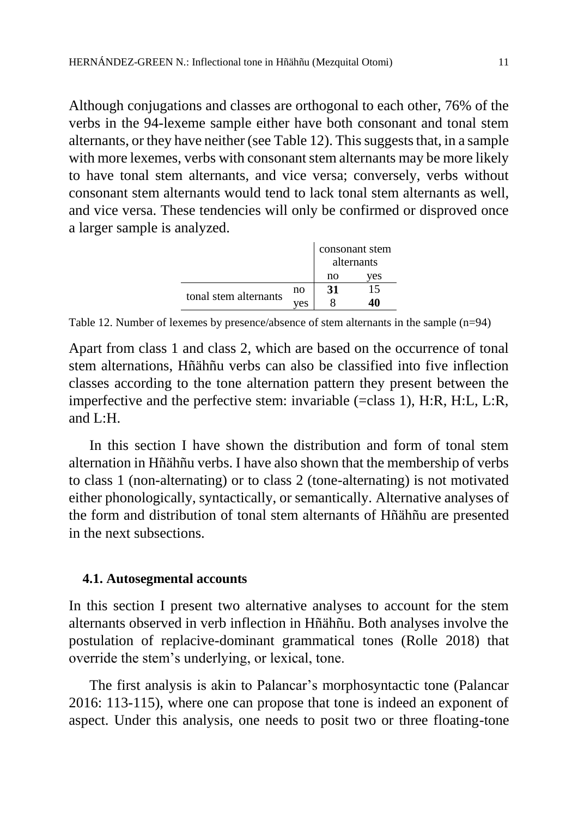Although conjugations and classes are orthogonal to each other, 76% of the verbs in the 94-lexeme sample either have both consonant and tonal stem alternants, or they have neither (see [Table 12\)](#page-10-0). This suggests that, in a sample with more lexemes, verbs with consonant stem alternants may be more likely to have tonal stem alternants, and vice versa; conversely, verbs without consonant stem alternants would tend to lack tonal stem alternants as well, and vice versa. These tendencies will only be confirmed or disproved once a larger sample is analyzed.

|                       |     |    | consonant stem |
|-----------------------|-----|----|----------------|
|                       |     |    | alternants     |
|                       |     | no | ves            |
|                       | no  | 31 | 15             |
| tonal stem alternants | ves |    |                |

<span id="page-10-0"></span>Table 12. Number of lexemes by presence/absence of stem alternants in the sample (n=94)

Apart from class 1 and class 2, which are based on the occurrence of tonal stem alternations, Hñähñu verbs can also be classified into five inflection classes according to the tone alternation pattern they present between the imperfective and the perfective stem: invariable (=class 1), H:R, H:L, L:R, and L:H.

In this section I have shown the distribution and form of tonal stem alternation in Hñähñu verbs. I have also shown that the membership of verbs to class 1 (non-alternating) or to class 2 (tone-alternating) is not motivated either phonologically, syntactically, or semantically. Alternative analyses of the form and distribution of tonal stem alternants of Hñähñu are presented in the next subsections.

#### **4.1. Autosegmental accounts**

In this section I present two alternative analyses to account for the stem alternants observed in verb inflection in Hñähñu. Both analyses involve the postulation of replacive-dominant grammatical tones (Rolle 2018) that override the stem's underlying, or lexical, tone.

The first analysis is akin to Palancar's morphosyntactic tone (Palancar 2016: 113-115), where one can propose that tone is indeed an exponent of aspect. Under this analysis, one needs to posit two or three floating-tone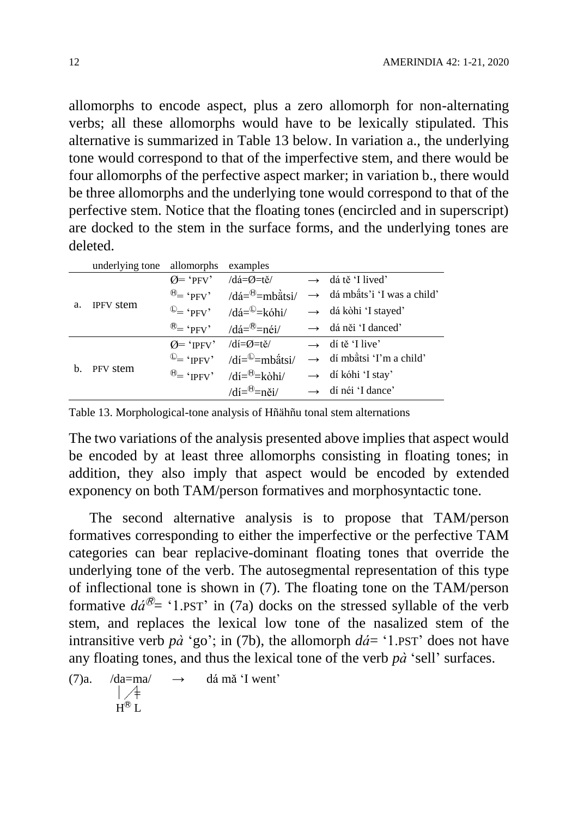allomorphs to encode aspect, plus a zero allomorph for non-alternating verbs; all these allomorphs would have to be lexically stipulated. This alternative is summarized in [Table 13](#page-11-0) below. In variation a., the underlying tone would correspond to that of the imperfective stem, and there would be four allomorphs of the perfective aspect marker; in variation b., there would be three allomorphs and the underlying tone would correspond to that of the perfective stem. Notice that the floating tones (encircled and in superscript) are docked to the stem in the surface forms, and the underlying tones are deleted.

|    | underlying tone allomorphs examples |                                                                                                                                                                                                                                                                                                                                            |                                           |
|----|-------------------------------------|--------------------------------------------------------------------------------------------------------------------------------------------------------------------------------------------------------------------------------------------------------------------------------------------------------------------------------------------|-------------------------------------------|
|    |                                     | $Q = 'P F V'$ /dá= $Q = t e$                                                                                                                                                                                                                                                                                                               | $\rightarrow$ dá tě 'I lived'             |
| a. |                                     | $\Theta = \text{`PPV'}$ /dá= $\Theta$ =mbàtsi/                                                                                                                                                                                                                                                                                             | $\rightarrow$ dá mbắts' i 'I was a child' |
|    | <b>IPFV</b> stem                    | $\mathbb{Q}$ + 'PFV' /dá= $\mathbb{Q}$ = kóhi/                                                                                                                                                                                                                                                                                             | $\rightarrow$ dá kòhi 'I stayed'          |
|    |                                     | $\mathcal{B}$ = 'PFV' $\qquad \qquad$ $\qquad$ $\qquad$ $\qquad$ $\qquad$ $\qquad$ $\qquad$ $\qquad$ $\qquad$ $\qquad$ $\qquad$ $\qquad$ $\qquad$ $\qquad$ $\qquad$ $\qquad$ $\qquad$ $\qquad$ $\qquad$ $\qquad$ $\qquad$ $\qquad$ $\qquad$ $\qquad$ $\qquad$ $\qquad$ $\qquad$ $\qquad$ $\qquad$ $\qquad$ $\qquad$ $\qquad$ $\qquad$ $\q$ | $\rightarrow$ dá něi 'I danced'           |
|    | PFV stem                            | $Q = 'IPFV'$ /di= $Q = t\check{e}$ /                                                                                                                                                                                                                                                                                                       | $\rightarrow$ dí tě 'I live'              |
| b. |                                     | $\mathbb{Q}$ = 'IPFV' /di= $\mathbb{Q}$ = mbatsi/                                                                                                                                                                                                                                                                                          | $\rightarrow$ dí mbàtsi 'I'm a child'     |
|    |                                     | $\Theta = \text{`IPFV'}$ /dí= $\Theta = \text{kòhi}$ /                                                                                                                                                                                                                                                                                     | $\rightarrow$ dí kóhi 'I stay'            |
|    |                                     | /dí $=$ $\theta$ $=$ něi/                                                                                                                                                                                                                                                                                                                  | $\rightarrow$ dí néi 'I dance'            |

<span id="page-11-0"></span>Table 13. Morphological-tone analysis of Hñähñu tonal stem alternations

The two variations of the analysis presented above implies that aspect would be encoded by at least three allomorphs consisting in floating tones; in addition, they also imply that aspect would be encoded by extended exponency on both TAM/person formatives and morphosyntactic tone.

The second alternative analysis is to propose that TAM/person formatives corresponding to either the imperfective or the perfective TAM categories can bear replacive-dominant floating tones that override the underlying tone of the verb. The autosegmental representation of this type of inflectional tone is shown in (7). The floating tone on the TAM/person formative  $d\hat{\alpha}^{\textcircled{P}}$  - '1.PST' in (7a) docks on the stressed syllable of the verb stem, and replaces the lexical low tone of the nasalized stem of the intransitive verb  $p\dot{a}$  'go'; in (7b), the allomorph  $d\dot{a}$  = '1.PST' does not have any floating tones, and thus the lexical tone of the verb *pà* 'sell' surfaces.

(7)a. 
$$
/da=ma/
$$
  $\rightarrow$  dá mà 'I went'  
\n $+$   
\nH<sup>®</sup>L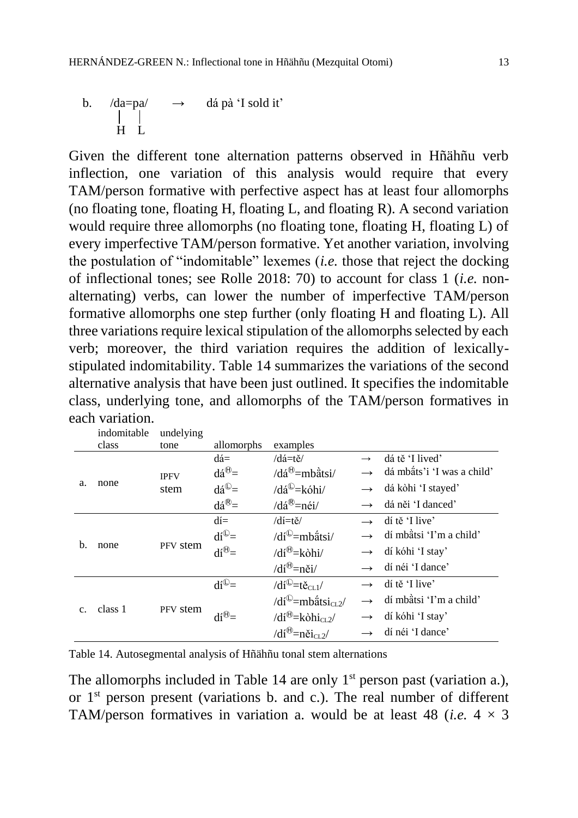Given the different tone alternation patterns observed in Hñähñu verb inflection, one variation of this analysis would require that every TAM/person formative with perfective aspect has at least four allomorphs (no floating tone, floating H, floating L, and floating R). A second variation would require three allomorphs (no floating tone, floating H, floating L) of every imperfective TAM/person formative. Yet another variation, involving the postulation of "indomitable" lexemes (*i.e.* those that reject the docking of inflectional tones; see Rolle 2018: 70) to account for class 1 (*i.e.* nonalternating) verbs, can lower the number of imperfective TAM/person formative allomorphs one step further (only floating H and floating L). All three variations require lexical stipulation of the allomorphs selected by each verb; moreover, the third variation requires the addition of lexicallystipulated indomitability. [Table 14](#page-12-0) summarizes the variations of the second alternative analysis that have been just outlined. It specifies the indomitable class, underlying tone, and allomorphs of the TAM/person formatives in each variation.

|                | indomitable | undelying   |                              |                                                           |               |                            |
|----------------|-------------|-------------|------------------------------|-----------------------------------------------------------|---------------|----------------------------|
|                | class       | tone        | allomorphs                   | examples                                                  |               |                            |
|                |             |             | $d\acute{a}$ =               | $\frac{d\text{d}t}{dt}$                                   | $\rightarrow$ | dá tě 'I lived'            |
|                |             | <b>IPFV</b> | $d\acute{a}^{\theta} =$      | $\frac{d^{(0)}}{dt}$ =mbatsi/                             |               | dá mbäts'i 'I was a child' |
| a.             | none        | stem        | $d\acute{a}^{\circledcirc}=$ | $\sqrt{da^{\mathbb{O}}}$ =kóhi/                           | $\rightarrow$ | dá kòhi 'I stayed'         |
|                |             |             | $d\acute{a}^{\circledR} =$   | $\delta$ dá®=néi/                                         |               | dá něi 'I danced'          |
|                |             |             | $di=$                        | /dí=tě/                                                   | $\rightarrow$ | dí tě 'I live'             |
|                | none        | PFV stem    | $di^{\circledcirc}$          | $/di^{\circ}$ =mbatsi/                                    |               | dí mbàtsi 'I'm a child'    |
| b.             |             |             | $di^{\oplus}$                | $/di^{\oplus} = k\delta h i/$                             | $\rightarrow$ | dí kóhi 'I stay'           |
|                |             |             |                              | $/di^{\oplus}$ =něi/                                      |               | dí néi 'I dance'           |
|                |             |             | $di^{\odot}$                 | / $di^{\circ}$ =tě <sub>cL1</sub> /                       | $\rightarrow$ | dí tě 'I live'             |
|                | class 1     | PFV stem    |                              | /dí <sup>①</sup> =mbatsi <sub>CL2</sub> /                 | $\rightarrow$ | dí mbàtsi 'I'm a child'    |
| $\mathbf{C}$ . |             |             | $di^{\oplus}$                | /dí <sup><math>\oplus</math></sup> =kòhi <sub>CL2</sub> / | $\rightarrow$ | dí kóhi 'I stay'           |
|                |             |             |                              | /dí <sup><math>\oplus</math></sup> =něi <sub>cL2</sub> /  |               | dí néi 'I dance'           |

<span id="page-12-0"></span>Table 14. Autosegmental analysis of Hñähñu tonal stem alternations

The allomorphs included in [Table 14](#page-12-0) are only 1<sup>st</sup> person past (variation a.), or  $1<sup>st</sup>$  person present (variations b. and c.). The real number of different TAM/person formatives in variation a. would be at least 48 (*i.e.*  $4 \times 3$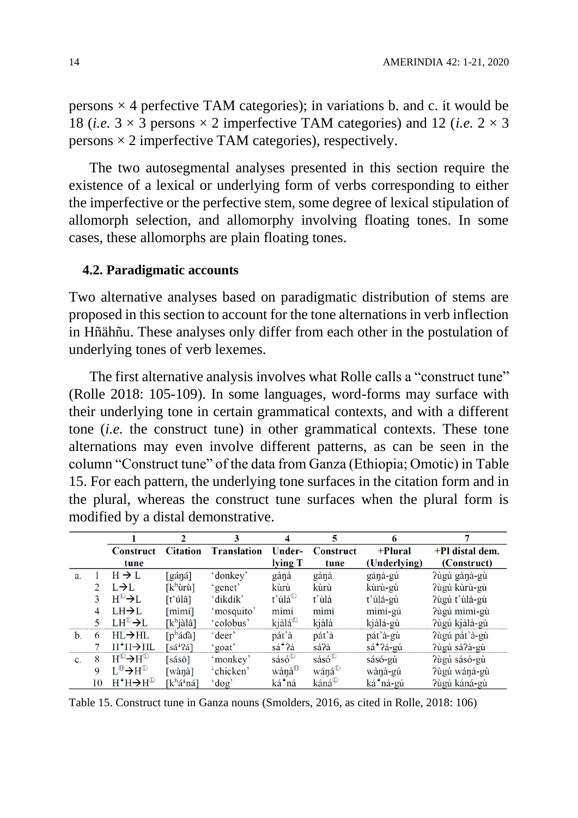persons  $\times$  4 perfective TAM categories); in variations b. and c. it would be 18 (*i.e.*  $3 \times 3$  persons  $\times$  2 imperfective TAM categories) and 12 (*i.e.*  $2 \times 3$ persons  $\times$  2 imperfective TAM categories), respectively.

The two autosegmental analyses presented in this section require the existence of a lexical or underlying form of verbs corresponding to either the imperfective or the perfective stem, some degree of lexical stipulation of allomorph selection, and allomorphy involving floating tones. In some cases, these allomorphs are plain floating tones.

#### **4.2. Paradigmatic accounts**

Two alternative analyses based on paradigmatic distribution of stems are proposed in this section to account for the tone alternations in verb inflection in Hñähñu. These analyses only differ from each other in the postulation of underlying tones of verb lexemes.

The first alternative analysis involves what Rolle calls a "construct tune" (Rolle 2018: 105-109). In some languages, word-forms may surface with their underlying tone in certain grammatical contexts, and with a different tone (*i.e.* the construct tune) in other grammatical contexts. These tone alternations may even involve different patterns, as can be seen in the column "Construct tune" of the data from Ganza (Ethiopia; Omotic) in [Table](#page-13-0)  [15.](#page-13-0) For each pattern, the underlying tone surfaces in the citation form and in the plural, whereas the construct tune surfaces when the plural form is modified by a distal demonstrative.

|                |             |                                                         |                           |                    |                                         | 5                                   | 6                     |                 |
|----------------|-------------|---------------------------------------------------------|---------------------------|--------------------|-----------------------------------------|-------------------------------------|-----------------------|-----------------|
|                |             | Construct                                               | <b>Citation</b>           | <b>Translation</b> | Under-                                  | Construct                           | +Plural               | +Pl distal dem. |
|                |             | tune                                                    |                           |                    | lying T                                 | tune                                | (Underlying)          | (Construct)     |
| a.             |             | $H \rightarrow L$                                       | [gáŋá]                    | 'donkey'           | gáná                                    | gàŋà                                | gáná-gú               | Pùgú gànà-gù    |
|                |             | $L\rightarrow L$                                        | [kʰùrù]                   | 'genet'            | kùrù                                    | kùrù                                | kùrù-gù               | ?ùgú kùrù-gù    |
|                |             | $H^{\text{\tiny (I)}} \rightarrow L$                    | [t'úlâ]                   | 'dikdik'           | $t$ 'úlá $^{\circ}$                     | t'ùlà                               | t'úlá-gù              | ?ùgú t'ùlà-gù   |
|                | 4           | $LH\rightarrow L$                                       | [mìmí]                    | 'mosquito'         | mìmí                                    | mìmì                                | mìmí-gú               | ?ùgú mìmì-gù    |
|                |             | $LH^{\text{L}} \rightarrow L$                           | $[k^h]$ àlâ]              | 'colobus'          | kjàlá <sup><math>\mathbb D</math></sup> | kjàlà                               | kjàlá-gù              | ?ùgú kjàlà-gù   |
| $\mathbf b$ .  | 6           | $HL \rightarrow H L$                                    | $[p^h \land \land \land]$ | 'deer'             | pát'à                                   | pát'à                               | pát'à-gù              | ?ùgú pát'à-gù   |
|                |             | Н*Н→Н                                                   | [sá <sup>+</sup> ?á]      | 'goat'             | sá <sup>+</sup> ?á                      | sá?à                                | sá <sup>+</sup> ?á-gú | Pùgú sá?à-gù    |
| $\mathbf{c}$ . | 8           | $H^{\text{\tiny (L)}} \rightarrow H^{\text{\tiny (L)}}$ | [sásô]                    | 'monkey'           | $sásó^{\textcircled{\tiny{L}}}$         | $s\acute{a}s\acute{o}^{\circ\circ}$ | sásó-gù               | ?ùgú sásó-gù    |
|                | $\mathbf Q$ | $L^{\oplus} \rightarrow H^{\oplus}$                     | [wànà]                    | 'chicken'          | wànà <sup>⊕</sup>                       | wáná <sup>U</sup>                   | wànà-gú               | ?ùgú wáŋá-gù    |
|                | 10          | $H^+H \rightarrow H^{\odot}$                            | [kʰá <sup>↓</sup> ná]     | $'$ dog'           | ká*ná                                   | káná <sup>(L)</sup>                 | ká*ná-gú              | ?ùgú káná-gù    |

<span id="page-13-0"></span>Table 15. Construct tune in Ganza nouns (Smolders, 2016, as cited in Rolle, 2018: 106)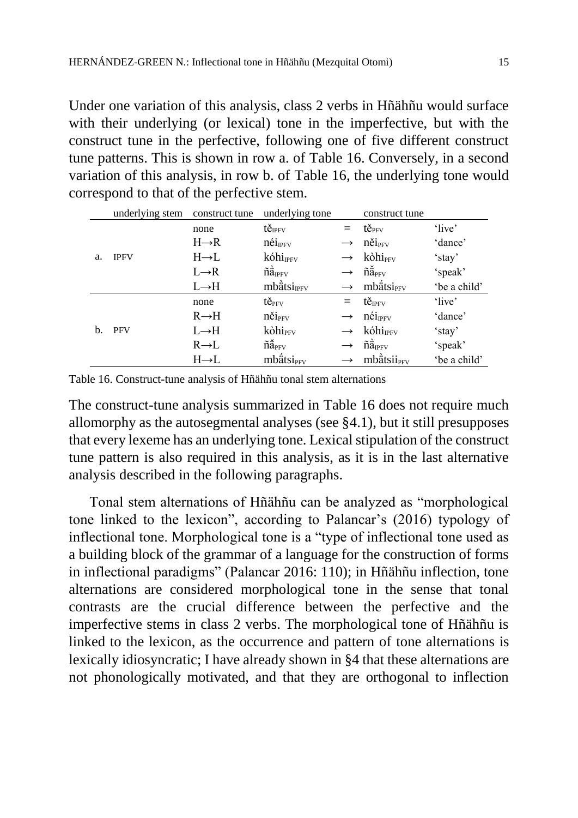Under one variation of this analysis, class 2 verbs in Hñähñu would surface with their underlying (or lexical) tone in the imperfective, but with the construct tune in the perfective, following one of five different construct tune patterns. This is shown in row a. of [Table 16.](#page-14-0) Conversely, in a second variation of this analysis, in row b. of [Table 16,](#page-14-0) the underlying tone would correspond to that of the perfective stem.

|    | underlying stem | construct tune    | underlying tone                       |               | construct tune                       |              |
|----|-----------------|-------------------|---------------------------------------|---------------|--------------------------------------|--------------|
|    |                 | none              | tě <sub>IPFV</sub>                    | $=$           | tě <sub>pfy</sub>                    | 'live'       |
|    |                 | $H\rightarrow R$  | $n\acute{e}i_{\rm IFV}$               | $\rightarrow$ | něi <sub>PFV</sub>                   | 'dance'      |
| a. | <b>IPFV</b>     | $H \rightarrow L$ | kóhi <sub>IPFV</sub>                  |               | kòhi <sub>PFV</sub>                  | 'stay'       |
|    |                 | $L \rightarrow R$ | $\tilde{n}$ $\ddot{a}_{IPFV}$         |               | $\tilde{n}$ $\tilde{a}_{\text{PFV}}$ | 'speak'      |
|    |                 | $L \rightarrow H$ | $mb\ddot{a}$ tsi <sub>IPFV</sub>      |               | mbätsi <sub>PFV</sub>                | 'be a child' |
|    |                 | none              | $t\check{e}_{PFV}$                    | $=$           | $t\check{e}_{IPFV}$                  | 'live'       |
|    |                 | $R \rightarrow H$ | něi <sub>PFV</sub>                    | $\rightarrow$ | néi <sub>IPFV</sub>                  | 'dance'      |
| b. | <b>PFV</b>      | $L \rightarrow H$ | kòhi <sub>PFV</sub>                   | $\rightarrow$ | $k$ óhi <sub>IPFV</sub>              | 'stay'       |
|    |                 | $R \rightarrow L$ | $\tilde{n}$ $\tilde{a}_{\text{PFV}}$  |               | $\tilde{n}$ $\ddot{a}_{IPFV}$        | 'speak'      |
|    |                 | $H\rightarrow L$  | $mb\{\hat{\alpha}$ tsi <sub>PFV</sub> |               | mbätsii <sub>PFV</sub>               | 'be a child' |

<span id="page-14-0"></span>Table 16. Construct-tune analysis of Hñähñu tonal stem alternations

The construct-tune analysis summarized in [Table 16](#page-14-0) does not require much allomorphy as the autosegmental analyses (see §4.1), but it still presupposes that every lexeme has an underlying tone. Lexical stipulation of the construct tune pattern is also required in this analysis, as it is in the last alternative analysis described in the following paragraphs.

Tonal stem alternations of Hñähñu can be analyzed as "morphological tone linked to the lexicon", according to Palancar's (2016) typology of inflectional tone. Morphological tone is a "type of inflectional tone used as a building block of the grammar of a language for the construction of forms in inflectional paradigms" (Palancar 2016: 110); in Hñähñu inflection, tone alternations are considered morphological tone in the sense that tonal contrasts are the crucial difference between the perfective and the imperfective stems in class 2 verbs. The morphological tone of Hñähñu is linked to the lexicon, as the occurrence and pattern of tone alternations is lexically idiosyncratic; I have already shown in §4 that these alternations are not phonologically motivated, and that they are orthogonal to inflection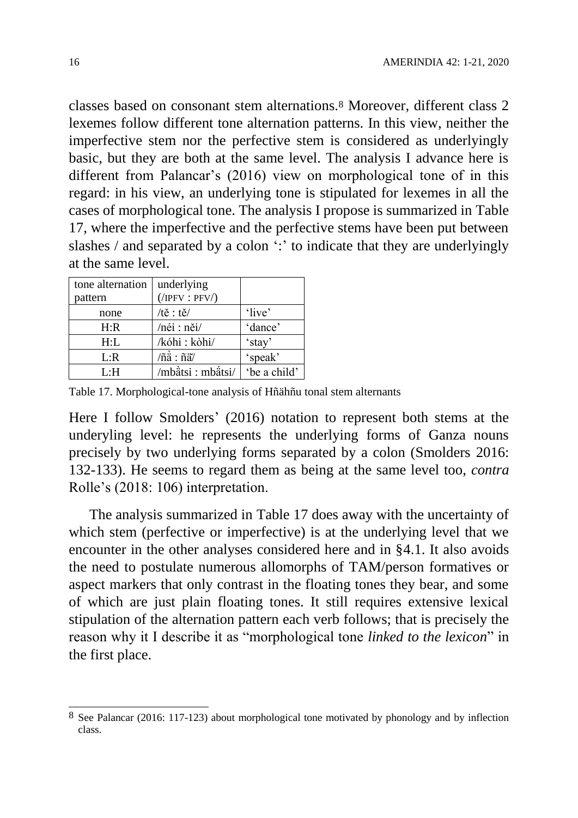classes based on consonant stem alternations.<sup>8</sup> Moreover, different class 2 lexemes follow different tone alternation patterns. In this view, neither the imperfective stem nor the perfective stem is considered as underlyingly basic, but they are both at the same level. The analysis I advance here is different from Palancar's (2016) view on morphological tone of in this regard: in his view, an underlying tone is stipulated for lexemes in all the cases of morphological tone. The analysis I propose is summarized in [Table](#page-15-0)  [17,](#page-15-0) where the imperfective and the perfective stems have been put between slashes / and separated by a colon ": " to indicate that they are underlyingly at the same level.

| tone alternation | underlying                                  |              |
|------------------|---------------------------------------------|--------------|
| pattern          | $($ /IPFV : PFV $/$ )                       |              |
| none             | $/t\check{e}: t\check{e}/$                  | 'live'       |
| H:R              | /néi : něi/                                 | 'dance'      |
| H: L             | /kóhi : kòhi/                               | 'stay'       |
| L:R              | $/ \tilde{n}$ à : $\tilde{n}$ ä $^{\prime}$ | 'speak'      |
| ∐:H              | /mbätsi : mbätsi/                           | 'be a child' |

<span id="page-15-0"></span>Table 17. Morphological-tone analysis of Hñähñu tonal stem alternants

Here I follow Smolders' (2016) notation to represent both stems at the underyling level: he represents the underlying forms of Ganza nouns precisely by two underlying forms separated by a colon (Smolders 2016: 132-133). He seems to regard them as being at the same level too, *contra* Rolle's (2018: 106) interpretation.

The analysis summarized in [Table 17](#page-15-0) does away with the uncertainty of which stem (perfective or imperfective) is at the underlying level that we encounter in the other analyses considered here and in §4.1. It also avoids the need to postulate numerous allomorphs of TAM/person formatives or aspect markers that only contrast in the floating tones they bear, and some of which are just plain floating tones. It still requires extensive lexical stipulation of the alternation pattern each verb follows; that is precisely the reason why it I describe it as "morphological tone *linked to the lexicon*" in the first place.

 $\overline{a}$ 

<sup>&</sup>lt;sup>8</sup> See Palancar (2016: 117-123) about morphological tone motivated by phonology and by inflection class.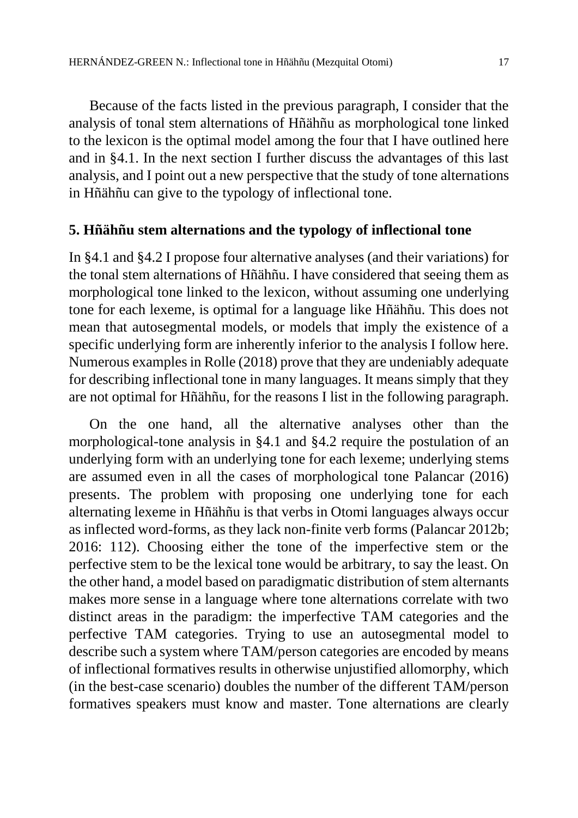Because of the facts listed in the previous paragraph, I consider that the analysis of tonal stem alternations of Hñähñu as morphological tone linked to the lexicon is the optimal model among the four that I have outlined here and in §4.1. In the next section I further discuss the advantages of this last analysis, and I point out a new perspective that the study of tone alternations in Hñähñu can give to the typology of inflectional tone.

## **5. Hñähñu stem alternations and the typology of inflectional tone**

In §4.1 and §4.2 I propose four alternative analyses (and their variations) for the tonal stem alternations of Hñähñu. I have considered that seeing them as morphological tone linked to the lexicon, without assuming one underlying tone for each lexeme, is optimal for a language like Hñähñu. This does not mean that autosegmental models, or models that imply the existence of a specific underlying form are inherently inferior to the analysis I follow here. Numerous examples in Rolle (2018) prove that they are undeniably adequate for describing inflectional tone in many languages. It means simply that they are not optimal for Hñähñu, for the reasons I list in the following paragraph.

On the one hand, all the alternative analyses other than the morphological-tone analysis in §4.1 and §4.2 require the postulation of an underlying form with an underlying tone for each lexeme; underlying stems are assumed even in all the cases of morphological tone Palancar (2016) presents. The problem with proposing one underlying tone for each alternating lexeme in Hñähñu is that verbs in Otomi languages always occur as inflected word-forms, as they lack non-finite verb forms (Palancar 2012b; 2016: 112). Choosing either the tone of the imperfective stem or the perfective stem to be the lexical tone would be arbitrary, to say the least. On the other hand, a model based on paradigmatic distribution of stem alternants makes more sense in a language where tone alternations correlate with two distinct areas in the paradigm: the imperfective TAM categories and the perfective TAM categories. Trying to use an autosegmental model to describe such a system where TAM/person categories are encoded by means of inflectional formatives results in otherwise unjustified allomorphy, which (in the best-case scenario) doubles the number of the different TAM/person formatives speakers must know and master. Tone alternations are clearly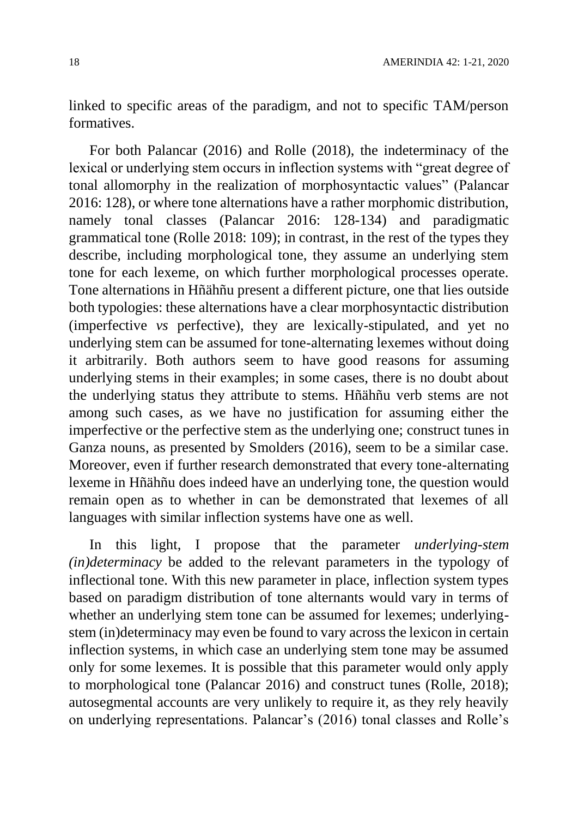linked to specific areas of the paradigm, and not to specific TAM/person formatives.

For both Palancar (2016) and Rolle (2018), the indeterminacy of the lexical or underlying stem occurs in inflection systems with "great degree of tonal allomorphy in the realization of morphosyntactic values" (Palancar 2016: 128), or where tone alternations have a rather morphomic distribution, namely tonal classes (Palancar 2016: 128-134) and paradigmatic grammatical tone (Rolle 2018: 109); in contrast, in the rest of the types they describe, including morphological tone, they assume an underlying stem tone for each lexeme, on which further morphological processes operate. Tone alternations in Hñähñu present a different picture, one that lies outside both typologies: these alternations have a clear morphosyntactic distribution (imperfective *vs* perfective), they are lexically-stipulated, and yet no underlying stem can be assumed for tone-alternating lexemes without doing it arbitrarily. Both authors seem to have good reasons for assuming underlying stems in their examples; in some cases, there is no doubt about the underlying status they attribute to stems. Hñähñu verb stems are not among such cases, as we have no justification for assuming either the imperfective or the perfective stem as the underlying one; construct tunes in Ganza nouns, as presented by Smolders (2016), seem to be a similar case. Moreover, even if further research demonstrated that every tone-alternating lexeme in Hñähñu does indeed have an underlying tone, the question would remain open as to whether in can be demonstrated that lexemes of all languages with similar inflection systems have one as well.

In this light, I propose that the parameter *underlying-stem (in)determinacy* be added to the relevant parameters in the typology of inflectional tone. With this new parameter in place, inflection system types based on paradigm distribution of tone alternants would vary in terms of whether an underlying stem tone can be assumed for lexemes; underlyingstem (in)determinacy may even be found to vary across the lexicon in certain inflection systems, in which case an underlying stem tone may be assumed only for some lexemes. It is possible that this parameter would only apply to morphological tone (Palancar 2016) and construct tunes (Rolle, 2018); autosegmental accounts are very unlikely to require it, as they rely heavily on underlying representations. Palancar's (2016) tonal classes and Rolle's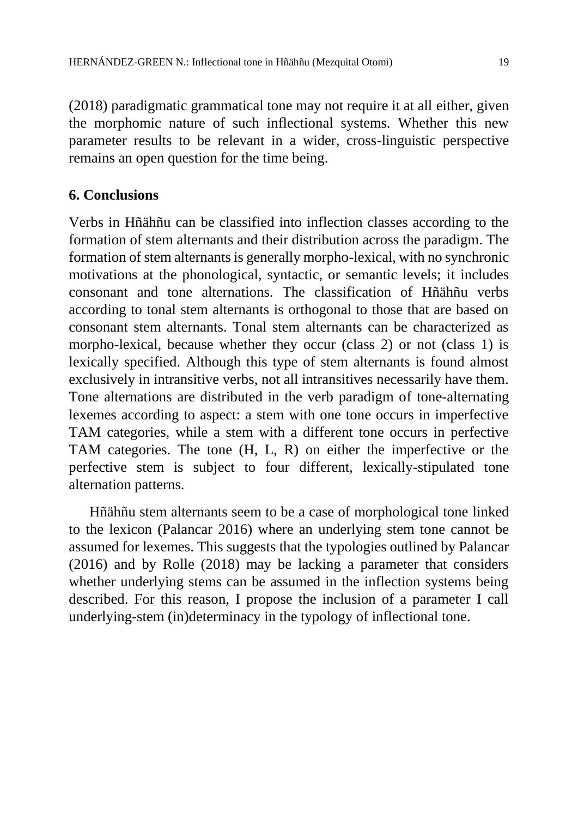(2018) paradigmatic grammatical tone may not require it at all either, given the morphomic nature of such inflectional systems. Whether this new parameter results to be relevant in a wider, cross-linguistic perspective remains an open question for the time being.

## **6. Conclusions**

Verbs in Hñähñu can be classified into inflection classes according to the formation of stem alternants and their distribution across the paradigm. The formation of stem alternants is generally morpho-lexical, with no synchronic motivations at the phonological, syntactic, or semantic levels; it includes consonant and tone alternations. The classification of Hñähñu verbs according to tonal stem alternants is orthogonal to those that are based on consonant stem alternants. Tonal stem alternants can be characterized as morpho-lexical, because whether they occur (class 2) or not (class 1) is lexically specified. Although this type of stem alternants is found almost exclusively in intransitive verbs, not all intransitives necessarily have them. Tone alternations are distributed in the verb paradigm of tone-alternating lexemes according to aspect: a stem with one tone occurs in imperfective TAM categories, while a stem with a different tone occurs in perfective TAM categories. The tone (H, L, R) on either the imperfective or the perfective stem is subject to four different, lexically-stipulated tone alternation patterns.

Hñähñu stem alternants seem to be a case of morphological tone linked to the lexicon (Palancar 2016) where an underlying stem tone cannot be assumed for lexemes. This suggests that the typologies outlined by Palancar (2016) and by Rolle (2018) may be lacking a parameter that considers whether underlying stems can be assumed in the inflection systems being described. For this reason, I propose the inclusion of a parameter I call underlying-stem (in)determinacy in the typology of inflectional tone.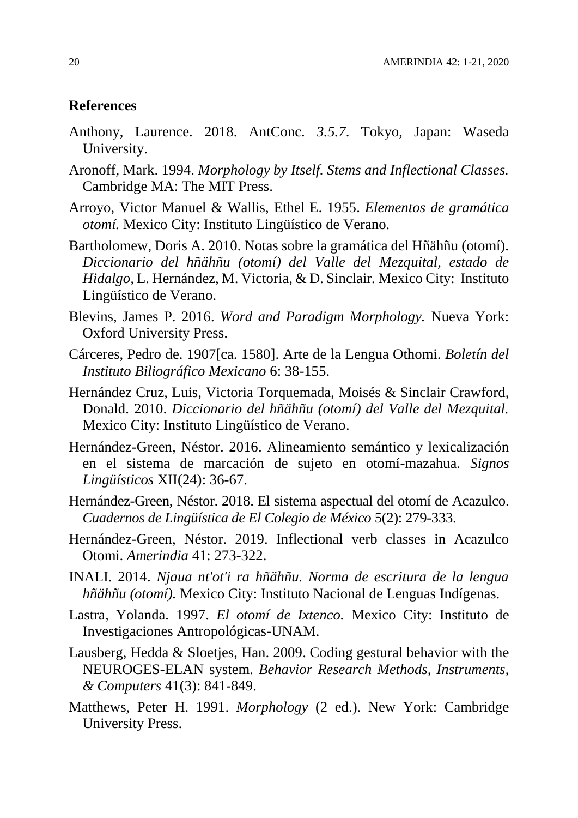#### **References**

- Anthony, Laurence. 2018. AntConc. *3.5.7*. Tokyo, Japan: Waseda University.
- Aronoff, Mark. 1994. *Morphology by Itself. Stems and Inflectional Classes.* Cambridge MA: The MIT Press.
- Arroyo, Victor Manuel & Wallis, Ethel E. 1955. *Elementos de gramática otomí.* Mexico City: Instituto Lingüístico de Verano.
- Bartholomew, Doris A. 2010. Notas sobre la gramática del Hñähñu (otomí). *Diccionario del hñähñu (otomí) del Valle del Mezquital, estado de Hidalgo,* L. Hernández, M. Victoria, & D. Sinclair*.* Mexico City: Instituto Lingüístico de Verano.
- Blevins, James P. 2016. *Word and Paradigm Morphology.* Nueva York: Oxford University Press.
- Cárceres, Pedro de. 1907[ca. 1580]. Arte de la Lengua Othomi. *Boletín del Instituto Biliográfico Mexicano* 6: 38-155.
- Hernández Cruz, Luis, Victoria Torquemada, Moisés & Sinclair Crawford, Donald. 2010. *Diccionario del hñähñu (otomí) del Valle del Mezquital.* Mexico City: Instituto Lingüístico de Verano.
- Hernández-Green, Néstor. 2016. Alineamiento semántico y lexicalización en el sistema de marcación de sujeto en otomí-mazahua. *Signos Lingüísticos* XII(24): 36-67.
- Hernández-Green, Néstor. 2018. El sistema aspectual del otomí de Acazulco. *Cuadernos de Lingüística de El Colegio de México* 5(2): 279-333.
- Hernández-Green, Néstor. 2019. Inflectional verb classes in Acazulco Otomi. *Amerindia* 41: 273-322.
- INALI. 2014. *Njaua nt'ot'i ra hñähñu. Norma de escritura de la lengua hñähñu (otomí).* Mexico City: Instituto Nacional de Lenguas Indígenas.
- Lastra, Yolanda. 1997. *El otomí de Ixtenco.* Mexico City: Instituto de Investigaciones Antropológicas-UNAM.
- Lausberg, Hedda & Sloetjes, Han. 2009. Coding gestural behavior with the NEUROGES-ELAN system. *Behavior Research Methods, Instruments, & Computers* 41(3): 841-849.
- Matthews, Peter H. 1991. *Morphology* (2 ed.). New York: Cambridge University Press.